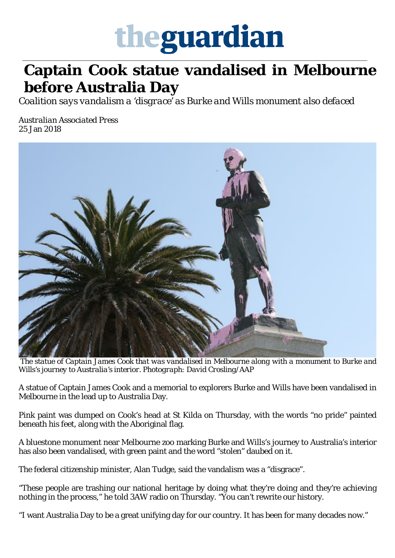## theguardian

## \_\_\_\_\_\_\_\_\_\_\_\_\_\_\_\_\_\_\_\_\_\_\_\_\_\_\_\_\_\_\_\_\_\_\_\_\_\_\_\_\_\_\_\_\_\_\_\_\_\_\_\_\_\_\_\_\_\_\_\_\_\_\_\_\_\_\_\_\_\_\_\_\_\_\_\_\_\_\_\_\_\_\_\_\_\_\_\_\_\_\_\_\_\_\_\_\_\_\_\_\_\_\_\_ **Captain Cook statue vandalised in Melbourne before Australia Day**

*Coalition says vandalism a 'disgrace' as Burke and Wills monument also defaced*

*Australian Associated Press* [25 Jan 2018](https://www.theguardian.com/australia-news/2018/jan/25/captain-cook-statue-vandalised-in-melbourne-before-australia-day#img-1)



*The statue of Captain James Cook that was vandalised in Melbourne along with a monument to Burke and Wills's journey to Australia's interior. Photograph: David Crosling/AAP*

A statue of Captain James Cook and a memorial to explorers Burke and Wills have been vandalised in Melbourne in the lead up to Australia Day.

Pink paint was dumped on Cook's head at St Kilda on Thursday, with the words "no pride" painted beneath his feet, along with the Aboriginal flag.

A bluestone monument near Melbourne zoo marking Burke and Wills's journey to Australia's interior has also been vandalised, with green paint and the word "stolen" daubed on it.

The federal citizenship minister, Alan Tudge, said the vandalism was a "disgrace".

"These people are trashing our national heritage by doing what they're doing and they're achieving nothing in the process," he told 3AW radio on Thursday. "You can't rewrite our history.

"I want Australia Day to be a great unifying day for our country. It has been for many decades now."